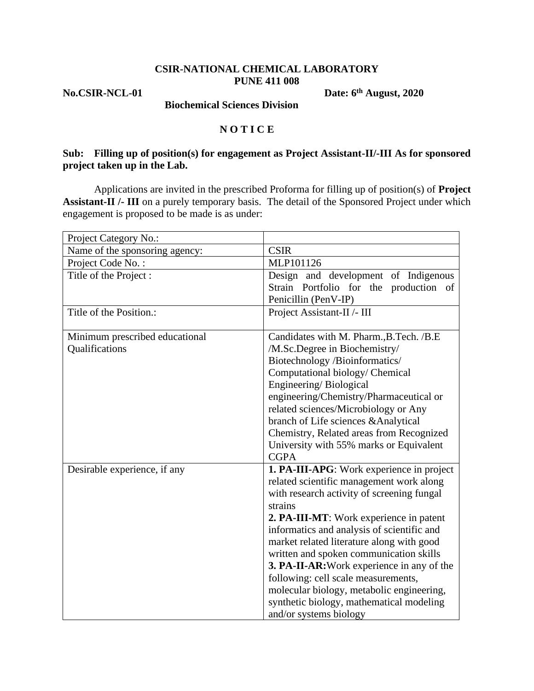#### **CSIR-NATIONAL CHEMICAL LABORATORY PUNE 411 008**

**No.CSIR-NCL-01 Date: 6th August, 2020** 

 **Biochemical Sciences Division**

#### **N O T I C E**

## **Sub: Filling up of position(s) for engagement as Project Assistant-II/-III As for sponsored project taken up in the Lab.**

Applications are invited in the prescribed Proforma for filling up of position(s) of **Project Assistant-II /- III** on a purely temporary basis. The detail of the Sponsored Project under which engagement is proposed to be made is as under:

| Project Category No.:          |                                                                                       |  |  |
|--------------------------------|---------------------------------------------------------------------------------------|--|--|
| Name of the sponsoring agency: | <b>CSIR</b>                                                                           |  |  |
| Project Code No.:              | MLP101126                                                                             |  |  |
| Title of the Project:          | Design and development of Indigenous                                                  |  |  |
|                                | Strain Portfolio for the production of                                                |  |  |
|                                | Penicillin (PenV-IP)                                                                  |  |  |
| Title of the Position.:        | Project Assistant-II /- III                                                           |  |  |
| Minimum prescribed educational | Candidates with M. Pharm., B. Tech. / B. E                                            |  |  |
| Qualifications                 | /M.Sc.Degree in Biochemistry/                                                         |  |  |
|                                | Biotechnology /Bioinformatics/                                                        |  |  |
|                                | Computational biology/ Chemical                                                       |  |  |
|                                | Engineering/Biological                                                                |  |  |
|                                | engineering/Chemistry/Pharmaceutical or                                               |  |  |
|                                | related sciences/Microbiology or Any                                                  |  |  |
|                                | branch of Life sciences & Analytical                                                  |  |  |
|                                | Chemistry, Related areas from Recognized                                              |  |  |
|                                | University with 55% marks or Equivalent                                               |  |  |
|                                | <b>CGPA</b>                                                                           |  |  |
| Desirable experience, if any   | <b>1. PA-III-APG</b> : Work experience in project                                     |  |  |
|                                | related scientific management work along                                              |  |  |
|                                | with research activity of screening fungal                                            |  |  |
|                                | strains                                                                               |  |  |
|                                | 2. PA-III-MT: Work experience in patent                                               |  |  |
|                                | informatics and analysis of scientific and                                            |  |  |
|                                | market related literature along with good                                             |  |  |
|                                | written and spoken communication skills<br>3. PA-II-AR: Work experience in any of the |  |  |
|                                | following: cell scale measurements,                                                   |  |  |
|                                | molecular biology, metabolic engineering,                                             |  |  |
|                                | synthetic biology, mathematical modeling                                              |  |  |
|                                | and/or systems biology                                                                |  |  |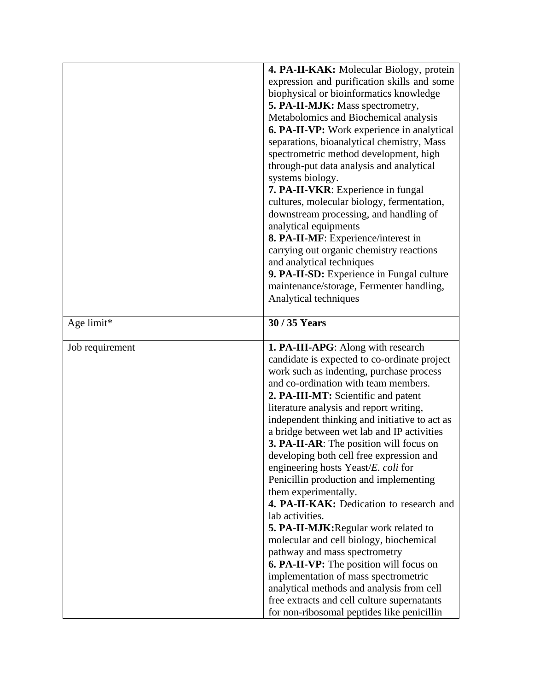|                 | 4. PA-II-KAK: Molecular Biology, protein<br>expression and purification skills and some<br>biophysical or bioinformatics knowledge<br>5. PA-II-MJK: Mass spectrometry,<br>Metabolomics and Biochemical analysis<br><b>6. PA-II-VP:</b> Work experience in analytical<br>separations, bioanalytical chemistry, Mass<br>spectrometric method development, high<br>through-put data analysis and analytical<br>systems biology.<br>7. PA-II-VKR: Experience in fungal<br>cultures, molecular biology, fermentation,<br>downstream processing, and handling of<br>analytical equipments<br>8. PA-II-MF: Experience/interest in<br>carrying out organic chemistry reactions<br>and analytical techniques<br>9. PA-II-SD: Experience in Fungal culture<br>maintenance/storage, Fermenter handling,<br>Analytical techniques                                                                                                                                                                          |
|-----------------|------------------------------------------------------------------------------------------------------------------------------------------------------------------------------------------------------------------------------------------------------------------------------------------------------------------------------------------------------------------------------------------------------------------------------------------------------------------------------------------------------------------------------------------------------------------------------------------------------------------------------------------------------------------------------------------------------------------------------------------------------------------------------------------------------------------------------------------------------------------------------------------------------------------------------------------------------------------------------------------------|
| Age limit*      | 30 / 35 Years                                                                                                                                                                                                                                                                                                                                                                                                                                                                                                                                                                                                                                                                                                                                                                                                                                                                                                                                                                                  |
|                 |                                                                                                                                                                                                                                                                                                                                                                                                                                                                                                                                                                                                                                                                                                                                                                                                                                                                                                                                                                                                |
| Job requirement | <b>1. PA-III-APG</b> : Along with research<br>candidate is expected to co-ordinate project<br>work such as indenting, purchase process<br>and co-ordination with team members.<br>2. PA-III-MT: Scientific and patent<br>literature analysis and report writing,<br>independent thinking and initiative to act as<br>a bridge between wet lab and IP activities<br><b>3. PA-II-AR:</b> The position will focus on<br>developing both cell free expression and<br>engineering hosts Yeast/E. coli for<br>Penicillin production and implementing<br>them experimentally.<br>4. PA-II-KAK: Dedication to research and<br>lab activities.<br>5. PA-II-MJK: Regular work related to<br>molecular and cell biology, biochemical<br>pathway and mass spectrometry<br><b>6. PA-II-VP:</b> The position will focus on<br>implementation of mass spectrometric<br>analytical methods and analysis from cell<br>free extracts and cell culture supernatants<br>for non-ribosomal peptides like penicillin |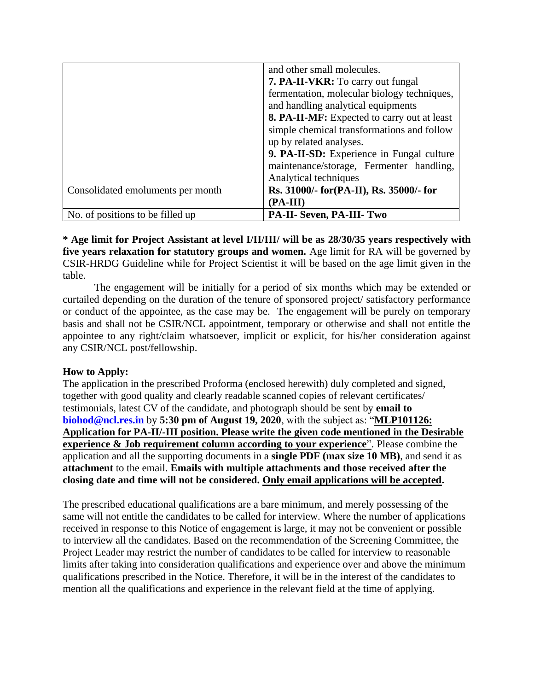|                                   | and other small molecules.                  |  |  |
|-----------------------------------|---------------------------------------------|--|--|
|                                   | <b>7. PA-II-VKR:</b> To carry out fungal    |  |  |
|                                   | fermentation, molecular biology techniques, |  |  |
|                                   | and handling analytical equipments          |  |  |
|                                   | 8. PA-II-MF: Expected to carry out at least |  |  |
|                                   | simple chemical transformations and follow  |  |  |
|                                   | up by related analyses.                     |  |  |
|                                   | 9. PA-II-SD: Experience in Fungal culture   |  |  |
|                                   | maintenance/storage, Fermenter handling,    |  |  |
|                                   | Analytical techniques                       |  |  |
| Consolidated emoluments per month | Rs. 31000/- for (PA-II), Rs. 35000/- for    |  |  |
|                                   | $(PA-III)$                                  |  |  |
| No. of positions to be filled up  | PA-II- Seven, PA-III- Two                   |  |  |

# **\* Age limit for Project Assistant at level I/II/III/ will be as 28/30/35 years respectively with five years relaxation for statutory groups and women.** Age limit for RA will be governed by CSIR-HRDG Guideline while for Project Scientist it will be based on the age limit given in the table.

The engagement will be initially for a period of six months which may be extended or curtailed depending on the duration of the tenure of sponsored project/ satisfactory performance or conduct of the appointee, as the case may be. The engagement will be purely on temporary basis and shall not be CSIR/NCL appointment, temporary or otherwise and shall not entitle the appointee to any right/claim whatsoever, implicit or explicit, for his/her consideration against any CSIR/NCL post/fellowship.

# **How to Apply:**

The application in the prescribed Proforma (enclosed herewith) duly completed and signed, together with good quality and clearly readable scanned copies of relevant certificates/ testimonials, latest CV of the candidate, and photograph should be sent by **email to biohod@ncl.res.in** by **5:30 pm of August 19, 2020**, with the subject as: "**MLP101126: Application for PA-II/-III position. Please write the given code mentioned in the Desirable experience & Job requirement column according to your experience**". Please combine the application and all the supporting documents in a **single PDF (max size 10 MB)**, and send it as **attachment** to the email. **Emails with multiple attachments and those received after the closing date and time will not be considered. Only email applications will be accepted.** 

The prescribed educational qualifications are a bare minimum, and merely possessing of the same will not entitle the candidates to be called for interview. Where the number of applications received in response to this Notice of engagement is large, it may not be convenient or possible to interview all the candidates. Based on the recommendation of the Screening Committee, the Project Leader may restrict the number of candidates to be called for interview to reasonable limits after taking into consideration qualifications and experience over and above the minimum qualifications prescribed in the Notice. Therefore, it will be in the interest of the candidates to mention all the qualifications and experience in the relevant field at the time of applying.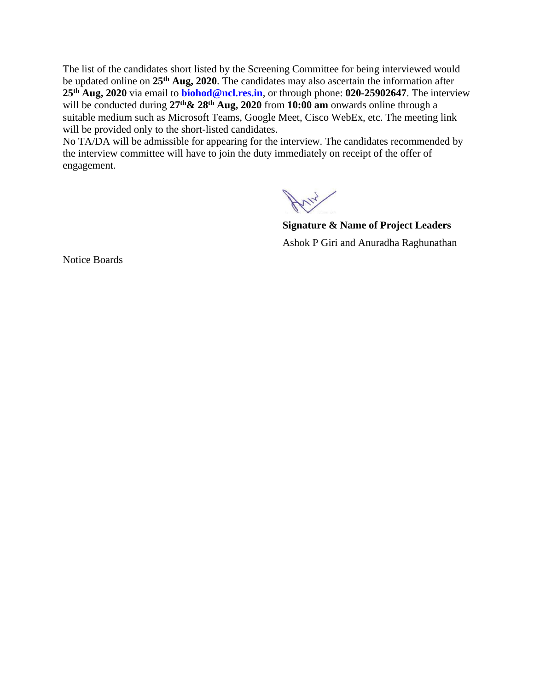The list of the candidates short listed by the Screening Committee for being interviewed would be updated online on **25th Aug, 2020**. The candidates may also ascertain the information after **25th Aug, 2020** via email to **biohod@ncl.res.in**, or through phone: **020-25902647**. The interview will be conducted during **27th& 28th Aug, 2020** from **10:00 am** onwards online through a suitable medium such as Microsoft Teams, Google Meet, Cisco WebEx, etc. The meeting link will be provided only to the short-listed candidates.

No TA/DA will be admissible for appearing for the interview. The candidates recommended by the interview committee will have to join the duty immediately on receipt of the offer of engagement.

**Signature & Name of Project Leaders** Ashok P Giri and Anuradha Raghunathan

Notice Boards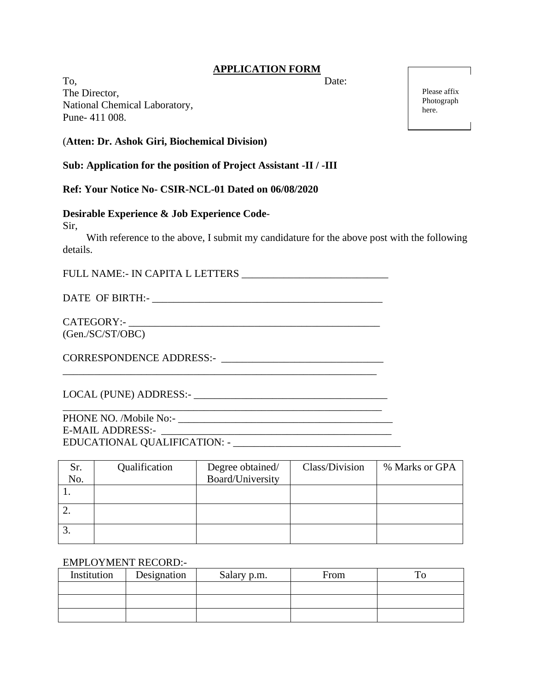## **APPLICATION FORM**

To, Date: The Director, National Chemical Laboratory, Pune- 411 008.

#### (**Atten: Dr. Ashok Giri, Biochemical Division)**

**Sub: Application for the position of Project Assistant -II / -III** 

**Ref: Your Notice No- CSIR-NCL-01 Dated on 06/08/2020**

## **Desirable Experience & Job Experience Code**-

Sir,

 With reference to the above, I submit my candidature for the above post with the following details.

FULL NAME:- IN CAPITA L LETTERS \_\_\_\_\_\_\_\_\_\_\_\_\_\_\_\_\_\_\_\_\_\_\_\_\_\_\_\_

\_\_\_\_\_\_\_\_\_\_\_\_\_\_\_\_\_\_\_\_\_\_\_\_\_\_\_\_\_\_\_\_\_\_\_\_\_\_\_\_\_\_\_\_\_\_\_\_\_\_\_\_\_\_\_\_\_\_\_\_

DATE OF BIRTH:- LETTER AND THE OF BIRTH  $\sim$ 

CATEGORY:-(Gen./SC/ST/OBC)

CORRESPONDENCE ADDRESS:- \_\_\_\_\_\_\_\_\_\_\_\_\_\_\_\_\_\_\_\_\_\_\_\_\_\_\_\_\_\_\_

LOCAL (PUNE) ADDRESS:-

PHONE NO. /Mobile No:- \_\_\_\_\_\_\_\_\_\_\_\_\_\_\_\_\_\_\_\_\_\_\_\_\_\_\_\_\_\_\_\_\_\_\_\_\_\_\_\_\_ E-MAIL ADDRESS:- \_\_\_\_\_\_\_\_\_\_\_\_\_\_\_\_\_\_\_\_\_\_\_\_\_\_\_\_\_\_\_\_\_\_\_\_\_\_\_\_\_\_\_\_ EDUCATIONAL QUALIFICATION: - \_\_\_\_\_\_\_\_\_\_\_\_\_\_\_\_\_\_\_\_\_\_\_\_\_\_\_\_\_\_\_\_

| Sr.<br>No. | Qualification | Degree obtained/<br>Board/University | Class/Division | % Marks or GPA |
|------------|---------------|--------------------------------------|----------------|----------------|
|            |               |                                      |                |                |
|            |               |                                      |                |                |
|            |               |                                      |                |                |

# EMPLOYMENT RECORD:-

| Institution | Designation | Salary p.m. | From | m |
|-------------|-------------|-------------|------|---|
|             |             |             |      |   |
|             |             |             |      |   |
|             |             |             |      |   |

Please affix Photograph here.